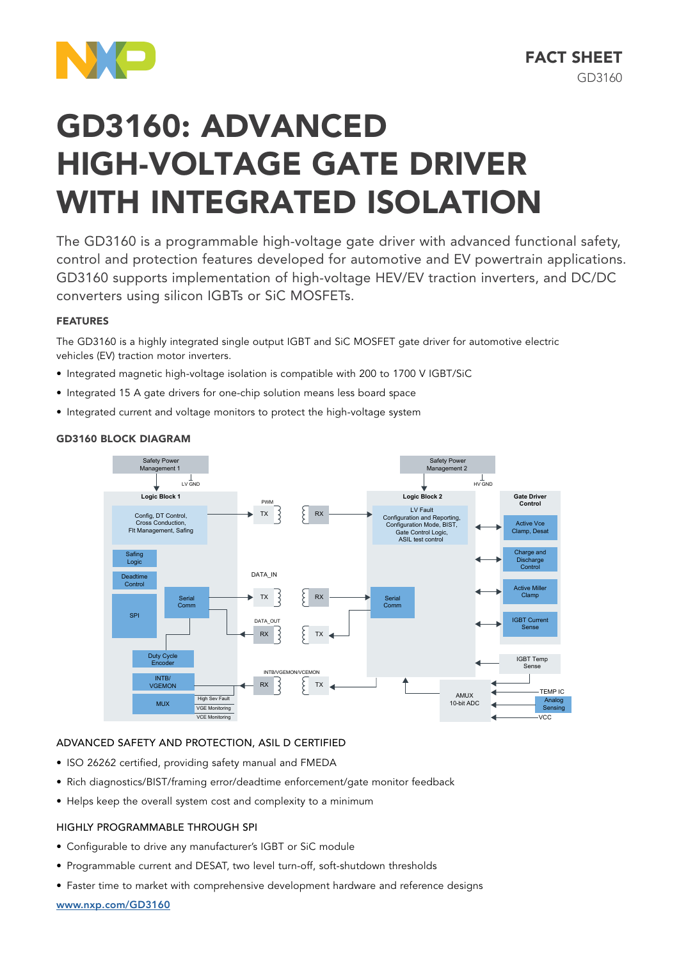

# GD3160: ADVANCED HIGH-VOLTAGE GATE DRIVER WITH INTEGRATED ISOLATION

The GD3160 is a programmable high-voltage gate driver with advanced functional safety, control and protection features developed for automotive and EV powertrain applications. GD3160 supports implementation of high-voltage HEV/EV traction inverters, and DC/DC converters using silicon IGBTs or SiC MOSFETs.

# FEATURES

The GD3160 is a highly integrated single output IGBT and SiC MOSFET gate driver for automotive electric vehicles (EV) traction motor inverters.

- Integrated magnetic high-voltage isolation is compatible with 200 to 1700 V IGBT/SiC
- Integrated 15 A gate drivers for one-chip solution means less board space
- Integrated current and voltage monitors to protect the high-voltage system

## **GD3160 BLOCK DIAGRAM**



# ADVANCED SAFETY AND PROTECTION, ASIL D CERTIFIED

- ISO 26262 certified, providing safety manual and FMEDA
- Rich diagnostics/BIST/framing error/deadtime enforcement/gate monitor feedback
- Helps keep the overall system cost and complexity to a minimum

## HIGHLY PROGRAMMABLE THROUGH SPI

- Configurable to drive any manufacturer's IGBT or SiC module
- Programmable current and DESAT, two level turn-off, soft-shutdown thresholds
- Faster time to market with comprehensive development hardware and reference designs

#### www.nxp.com/GD3160